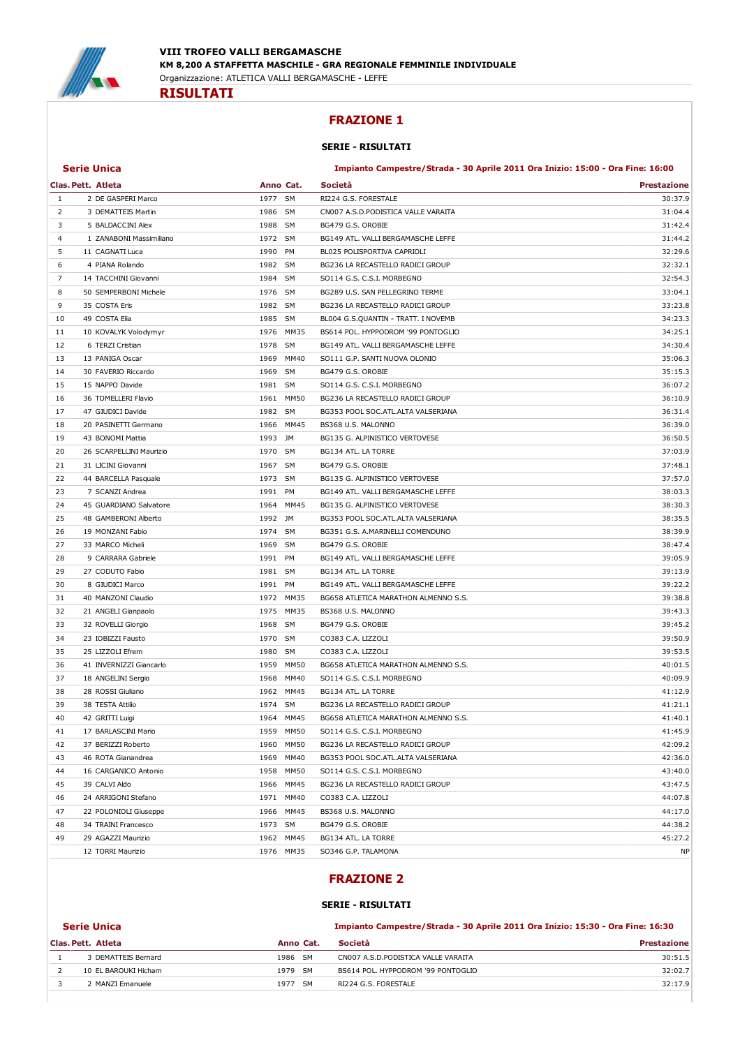

#### FRAZIONE 1

#### SERIE - RISULTATI

#### Serie Unica Impianto Campestre/Strada - 30 Aprile 2011 Ora Inizio: 15:00 - Ora Fine: 16:00

|          | Clas. Pett. Atleta                            | Anno Cat.    | Società                              | <b>Prestazione</b> |
|----------|-----------------------------------------------|--------------|--------------------------------------|--------------------|
| 1        | 2 DE GASPERI Marco                            | 1977 SM      | RI224 G.S. FORESTALE                 | 30:37.9            |
| 2        | 3 DEMATTEIS Martin                            | 1986 SM      | CN007 A.S.D.PODISTICA VALLE VARAITA  | 31:04.4            |
| 3        | 5 BALDACCINI Alex                             | 1988 SM      | BG479 G.S. OROBIE                    | 31:42.4            |
| 4        | 1 ZANABONI Massimiliano                       | 1972 SM      | BG149 ATL. VALLI BERGAMASCHE LEFFE   | 31:44.2            |
| 5        | 11 CAGNATI Luca                               | 1990 PM      | BL025 POLISPORTIVA CAPRIOLI          | 32:29.6            |
| 6        | 4 PIANA Rolando                               | 1982 SM      | BG236 LA RECASTELLO RADICI GROUP     | 32:32.1            |
| 7        | 14 TACCHINI Giovanni                          | 1984 SM      | SO114 G.S. C.S.I. MORBEGNO           | 32:54.3            |
| 8        | 50 SEMPERBONI Michele                         | 1976 SM      | BG289 U.S. SAN PELLEGRINO TERME      | 33:04.1            |
| 9        | 35 COSTA Eris                                 | 1982 SM      | BG236 LA RECASTELLO RADICI GROUP     | 33:23.8            |
| 10       | 49 COSTA Elia                                 | 1985 SM      | BL004 G.S.QUANTIN - TRATT. I NOVEMB  | 34:23.3            |
| 11       | 10 KOVALYK Volodymyr                          | 1976 MM35    | BS614 POL. HYPPODROM '99 PONTOGLIO   | 34:25.1            |
| 12       | 6 TERZI Cristian                              | 1978 SM      | BG149 ATL. VALLI BERGAMASCHE LEFFE   | 34:30.4            |
| 13       | 13 PANIGA Oscar                               | 1969<br>MM40 | SO111 G.P. SANTI NUOVA OLONIO        | 35:06.3            |
| 14       | 30 FAVERIO Riccardo                           | 1969 SM      | BG479 G.S. OROBIE                    | 35:15.3            |
| 15       | 15 NAPPO Davide                               | 1981 SM      | SO114 G.S. C.S.I. MORBEGNO           | 36:07.2            |
| 16       | 36 TOMELLERI Flavio                           | 1961 MM50    | BG236 LA RECASTELLO RADICI GROUP     | 36:10.9            |
| 17       | 47 GIUDICI Davide                             | 1982 SM      | BG353 POOL SOC.ATL.ALTA VALSERIANA   | 36:31.4            |
| 18       | 20 PASINETTI Germano                          | 1966 MM45    | BS368 U.S. MALONNO                   | 36:39.0            |
| 19       | 43 BONOMI Mattia                              | 1993 JM      | BG135 G. ALPINISTICO VERTOVESE       | 36:50.5            |
|          |                                               | 1970 SM      | BG134 ATL. LA TORRE                  |                    |
| 20<br>21 | 26 SCARPELLINI Maurizio<br>31 LICINI Giovanni | 1967 SM      | BG479 G.S. OROBIE                    | 37:03.9<br>37:48.1 |
|          |                                               | 1973 SM      |                                      | 37:57.0            |
| 22       | 44 BARCELLA Pasquale                          | 1991 PM      | BG135 G. ALPINISTICO VERTOVESE       | 38:03.3            |
| 23       | 7 SCANZI Andrea                               |              | BG149 ATL. VALLI BERGAMASCHE LEFFE   |                    |
| 24       | 45 GUARDIANO Salvatore                        | 1964 MM45    | BG135 G. ALPINISTICO VERTOVESE       | 38:30.3            |
| 25       | 48 GAMBERONI Alberto                          | 1992 JM      | BG353 POOL SOC.ATL.ALTA VALSERIANA   | 38:35.5            |
| 26       | 19 MONZANI Fabio                              | 1974 SM      | BG351 G.S. A.MARINELLI COMENDUNO     | 38:39.9            |
| 27       | 33 MARCO Micheli                              | 1969 SM      | BG479 G.S. OROBIE                    | 38:47.4            |
| 28       | 9 CARRARA Gabriele                            | 1991 PM      | BG149 ATL. VALLI BERGAMASCHE LEFFE   | 39:05.9            |
| 29       | 27 CODUTO Fabio                               | 1981 SM      | BG134 ATL. LA TORRE                  | 39:13.9            |
| 30       | 8 GIUDICI Marco                               | 1991 PM      | BG149 ATL. VALLI BERGAMASCHE LEFFE   | 39:22.2            |
| 31       | 40 MANZONI Claudio                            | 1972 MM35    | BG658 ATLETICA MARATHON ALMENNO S.S. | 39:38.8            |
| 32       | 21 ANGELI Gianpaolo                           | 1975 MM35    | BS368 U.S. MALONNO                   | 39:43.3            |
| 33       | 32 ROVELLI Giorgio                            | 1968 SM      | BG479 G.S. OROBIE                    | 39:45.2            |
| 34       | 23 IOBIZZI Fausto                             | 1970 SM      | CO383 C.A. LIZZOLI                   | 39:50.9            |
| 35       | 25 LIZZOLI Efrem                              | 1980<br>SM   | CO383 C.A. LIZZOLI                   | 39:53.5            |
| 36       | 41 INVERNIZZI Giancarlo                       | 1959 MM50    | BG658 ATLETICA MARATHON ALMENNO S.S. | 40:01.5            |
| 37       | 18 ANGELINI Sergio                            | 1968 MM40    | SO114 G.S. C.S.I. MORBEGNO           | 40:09.9            |
| 38       | 28 ROSSI Giuliano                             | 1962 MM45    | BG134 ATL. LA TORRE                  | 41:12.9            |
| 39       | 38 TESTA Attilio                              | 1974 SM      | BG236 LA RECASTELLO RADICI GROUP     | 41:21.1            |
| 40       | 42 GRITTI Luigi                               | 1964 MM45    | BG658 ATLETICA MARATHON ALMENNO S.S. | 41:40.1            |
| 41       | 17 BARLASCINI Mario                           | 1959 MM50    | SO114 G.S. C.S.I. MORBEGNO           | 41:45.9            |
| 42       | 37 BERIZZI Roberto                            | 1960 MM50    | BG236 LA RECASTELLO RADICI GROUP     | 42:09.2            |
| 43       | 46 ROTA Gianandrea                            | 1969 MM40    | BG353 POOL SOC.ATL.ALTA VALSERIANA   | 42:36.0            |
| 44       | 16 CARGANICO Antonio                          | 1958 MM50    | SO114 G.S. C.S.I. MORBEGNO           | 43:40.0            |
| 45       | 39 CALVI Aldo                                 | 1966 MM45    | BG236 LA RECASTELLO RADICI GROUP     | 43:47.5            |
| 46       | 24 ARRIGONI Stefano                           | 1971 MM40    | CO383 C.A. LIZZOLI                   | 44:07.8            |
| 47       | 22 POLONIOLI Giuseppe                         | 1966 MM45    | BS368 U.S. MALONNO                   | 44:17.0            |
| 48       | 34 TRAINI Francesco                           | 1973 SM      | BG479 G.S. OROBIE                    | 44:38.2            |
| 49       | 29 AGAZZI Maurizio                            | 1962 MM45    | BG134 ATL. LA TORRE                  | 45:27.2            |
|          | 12 TORRI Maurizio                             | 1976 MM35    | SO346 G.P. TALAMONA                  | <b>NP</b>          |

### FRAZIONE 2

#### SERIE - RISULTATI

| <b>Serie Unica</b>   |           | Impianto Campestre/Strada - 30 Aprile 2011 Ora Inizio: 15:30 - Ora Fine: 16:30 |                    |  |
|----------------------|-----------|--------------------------------------------------------------------------------|--------------------|--|
| Clas. Pett. Atleta   | Anno Cat. | Società                                                                        | <b>Prestazione</b> |  |
| 3 DEMATTEIS Bernard  | 1986 SM   | CN007 A.S.D.PODISTICA VALLE VARAITA                                            | 30:51.5            |  |
| 10 EL BAROUKI Hicham | 1979 SM   | BS614 POL. HYPPODROM '99 PONTOGLIO                                             | 32:02.7            |  |
| 2 MANZI Emanuele     | 1977 SM   | RI224 G.S. FORESTALE                                                           | 32:17.9            |  |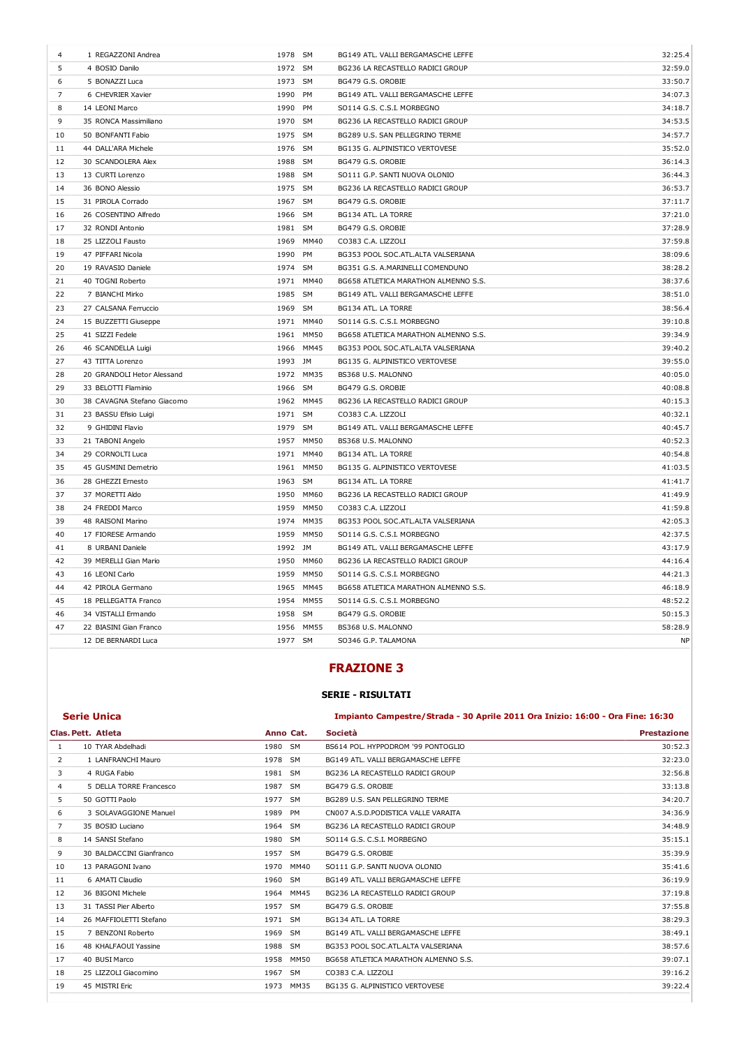| 4  | 1 REGAZZONI Andrea         | 1978 SM |             | BG149 ATL. VALLI BERGAMASCHE LEFFE   | 32:25.4   |
|----|----------------------------|---------|-------------|--------------------------------------|-----------|
| 5  | 4 BOSIO Danilo             | 1972 SM |             | BG236 LA RECASTELLO RADICI GROUP     | 32:59.0   |
| 6  | 5 BONAZZI Luca             | 1973 SM |             | BG479 G.S. OROBIE                    | 33:50.7   |
| 7  | 6 CHEVRIER Xavier          | 1990 PM |             | BG149 ATL. VALLI BERGAMASCHE LEFFE   | 34:07.3   |
| 8  | 14 LEONI Marco             | 1990    | PM          | SO114 G.S. C.S.I. MORBEGNO           | 34:18.7   |
| 9  | 35 RONCA Massimiliano      | 1970 SM |             | BG236 LA RECASTELLO RADICI GROUP     | 34:53.5   |
| 10 | 50 BONFANTI Fabio          | 1975 SM |             | BG289 U.S. SAN PELLEGRINO TERME      | 34:57.7   |
| 11 | 44 DALL'ARA Michele        | 1976 SM |             | BG135 G. ALPINISTICO VERTOVESE       | 35:52.0   |
| 12 | 30 SCANDOLERA Alex         | 1988 SM |             | BG479 G.S. OROBIE                    | 36:14.3   |
| 13 | 13 CURTI Lorenzo           | 1988 SM |             | SO111 G.P. SANTI NUOVA OLONIO        | 36:44.3   |
| 14 | 36 BONO Alessio            | 1975 SM |             | BG236 LA RECASTELLO RADICI GROUP     | 36:53.7   |
| 15 | 31 PIROLA Corrado          | 1967 SM |             | BG479 G.S. OROBIE                    | 37:11.7   |
| 16 | 26 COSENTINO Alfredo       | 1966 SM |             | BG134 ATL. LA TORRE                  | 37:21.0   |
| 17 | 32 RONDI Antonio           | 1981    | <b>SM</b>   | BG479 G.S. OROBIE                    | 37:28.9   |
| 18 | 25 LIZZOLI Fausto          | 1969    | MM40        | CO383 C.A. LIZZOLI                   | 37:59.8   |
| 19 | 47 PIFFARI Nicola          | 1990 PM |             | BG353 POOL SOC.ATL.ALTA VALSERIANA   | 38:09.6   |
| 20 | 19 RAVASIO Daniele         | 1974    | <b>SM</b>   | BG351 G.S. A.MARINELLI COMENDUNO     | 38:28.2   |
| 21 | 40 TOGNI Roberto           |         | 1971 MM40   | BG658 ATLETICA MARATHON ALMENNO S.S. | 38:37.6   |
| 22 | 7 BIANCHI Mirko            | 1985 SM |             | BG149 ATL. VALLI BERGAMASCHE LEFFE   | 38:51.0   |
| 23 | 27 CALSANA Ferruccio       | 1969    | SM          | BG134 ATL. LA TORRE                  | 38:56.4   |
| 24 | 15 BUZZETTI Giuseppe       |         | 1971 MM40   | SO114 G.S. C.S.I. MORBEGNO           | 39:10.8   |
| 25 | 41 SIZZI Fedele            |         | 1961 MM50   | BG658 ATLETICA MARATHON ALMENNO S.S. | 39:34.9   |
| 26 | 46 SCANDELLA Luigi         | 1966    | MM45        | BG353 POOL SOC.ATL.ALTA VALSERIANA   | 39:40.2   |
| 27 | 43 TITTA Lorenzo           | 1993 JM |             | BG135 G. ALPINISTICO VERTOVESE       | 39:55.0   |
| 28 | 20 GRANDOLI Hetor Alessand |         | 1972 MM35   | BS368 U.S. MALONNO                   | 40:05.0   |
| 29 | 33 BELOTTI Flaminio        | 1966    | SM          | BG479 G.S. OROBIE                    | 40:08.8   |
| 30 | 38 CAVAGNA Stefano Giacomo |         | 1962 MM45   | BG236 LA RECASTELLO RADICI GROUP     | 40:15.3   |
| 31 | 23 BASSU Efisio Luigi      | 1971 SM |             | CO383 C.A. LIZZOLI                   | 40:32.1   |
| 32 | 9 GHIDINI Flavio           | 1979 SM |             | BG149 ATL. VALLI BERGAMASCHE LEFFE   | 40:45.7   |
| 33 | 21 TABONI Angelo           |         | 1957 MM50   | BS368 U.S. MALONNO                   | 40:52.3   |
| 34 | 29 CORNOLTI Luca           |         | 1971 MM40   | BG134 ATL. LA TORRE                  | 40:54.8   |
| 35 | 45 GUSMINI Demetrio        | 1961    | <b>MM50</b> | BG135 G. ALPINISTICO VERTOVESE       | 41:03.5   |
| 36 | 28 GHEZZI Ernesto          | 1963 SM |             | BG134 ATL. LA TORRE                  | 41:41.7   |
| 37 | 37 MORETTI Aldo            | 1950    | MM60        | BG236 LA RECASTELLO RADICI GROUP     | 41:49.9   |
| 38 | 24 FREDDI Marco            | 1959    | <b>MM50</b> | CO383 C.A. LIZZOLI                   | 41:59.8   |
| 39 | 48 RAISONI Marino          |         | 1974 MM35   | BG353 POOL SOC.ATL.ALTA VALSERIANA   | 42:05.3   |
| 40 | 17 FIORESE Armando         |         | 1959 MM50   | SO114 G.S. C.S.I. MORBEGNO           | 42:37.5   |
| 41 | 8 URBANI Daniele           | 1992    | JM          | BG149 ATL. VALLI BERGAMASCHE LEFFE   | 43:17.9   |
| 42 | 39 MERELLI Gian Mario      | 1950    | MM60        | BG236 LA RECASTELLO RADICI GROUP     | 44:16.4   |
| 43 | 16 LEONI Carlo             | 1959    | <b>MM50</b> | SO114 G.S. C.S.I. MORBEGNO           | 44:21.3   |
| 44 | 42 PIROLA Germano          | 1965    | MM45        | BG658 ATLETICA MARATHON ALMENNO S.S. | 46:18.9   |
| 45 | 18 PELLEGATTA Franco       | 1954    | <b>MM55</b> | SO114 G.S. C.S.I. MORBEGNO           | 48:52.2   |
| 46 | 34 VISTALLI Ermando        | 1958 SM |             | BG479 G.S. OROBIE                    | 50:15.3   |
| 47 | 22 BIASINI Gian Franco     |         | 1956 MM55   | BS368 U.S. MALONNO                   | 58:28.9   |
|    | 12 DE BERNARDI Luca        | 1977 SM |             | SO346 G.P. TALAMONA                  | <b>NP</b> |

### FRAZIONE 3

#### SERIE - RISULTATI

#### Serie Unica Impianto Campestre/Strada - 30 Aprile 2011 Ora Inizio: 16:00 - Ora Fine: 16:30

|                | Clas. Pett. Atleta       | Anno Cat.           | Società                              | <b>Prestazione</b> |
|----------------|--------------------------|---------------------|--------------------------------------|--------------------|
| 1              | 10 TYAR Abdelhadi        | <b>SM</b><br>1980   | BS614 POL. HYPPODROM '99 PONTOGLIO   | 30:52.3            |
| 2              | 1 LANFRANCHI Mauro       | 1978<br><b>SM</b>   | BG149 ATL, VALLI BERGAMASCHE LEFFE   | 32:23.0            |
| 3              | 4 RUGA Fabio             | 1981<br><b>SM</b>   | BG236 LA RECASTELLO RADICI GROUP     | 32:56.8            |
| 4              | 5 DELLA TORRE Francesco  | 1987<br><b>SM</b>   | BG479 G.S. OROBIE                    | 33:13.8            |
| 5              | 50 GOTTI Paolo           | 1977<br><b>SM</b>   | BG289 U.S. SAN PELLEGRINO TERME      | 34:20.7            |
| 6              | 3 SOLAVAGGIONE Manuel    | 1989<br><b>PM</b>   | CN007 A.S.D.PODISTICA VALLE VARAITA  | 34:36.9            |
| $\overline{7}$ | 35 BOSIO Luciano         | 1964<br><b>SM</b>   | BG236 LA RECASTELLO RADICI GROUP     | 34:48.9            |
| 8              | 14 SANSI Stefano         | 1980<br><b>SM</b>   | SO114 G.S. C.S.I. MORBEGNO           | 35:15.1            |
| 9              | 30 BALDACCINI Gianfranco | 1957<br><b>SM</b>   | BG479 G.S. OROBIE                    | 35:39.9            |
| 10             | 13 PARAGONI Ivano        | 1970<br>MM40        | SO111 G.P. SANTI NUOVA OLONIO        | 35:41.6            |
| 11             | 6 AMATI Claudio          | 1960<br><b>SM</b>   | BG149 ATL, VALLI BERGAMASCHE LEFFE   | 36:19.9            |
| 12             | 36 BIGONI Michele        | MM45<br>1964        | BG236 LA RECASTELLO RADICI GROUP     | 37:19.8            |
| 13             | 31 TASSI Pier Alberto    | <b>SM</b><br>1957   | BG479 G.S. OROBIE                    | 37:55.8            |
| 14             | 26 MAFFIOLETTI Stefano   | 1971 SM             | BG134 ATL. LA TORRE                  | 38:29.3            |
| 15             | 7 BENZONI Roberto        | 1969<br><b>SM</b>   | BG149 ATL. VALLI BERGAMASCHE LEFFE   | 38:49.1            |
| 16             | 48 KHALFAOUI Yassine     | 1988<br><b>SM</b>   | BG353 POOL SOC.ATL.ALTA VALSERIANA   | 38:57.6            |
| 17             | 40 BUSI Marco            | <b>MM50</b><br>1958 | BG658 ATLETICA MARATHON ALMENNO S.S. | 39:07.1            |
| 18             | 25 LIZZOLI Giacomino     | <b>SM</b><br>1967   | CO383 C.A. LIZZOLI                   | 39:16.2            |
| 19             | 45 MISTRI Eric           | MM35<br>1973        | BG135 G. ALPINISTICO VERTOVESE       | 39:22.4            |
|                |                          |                     |                                      |                    |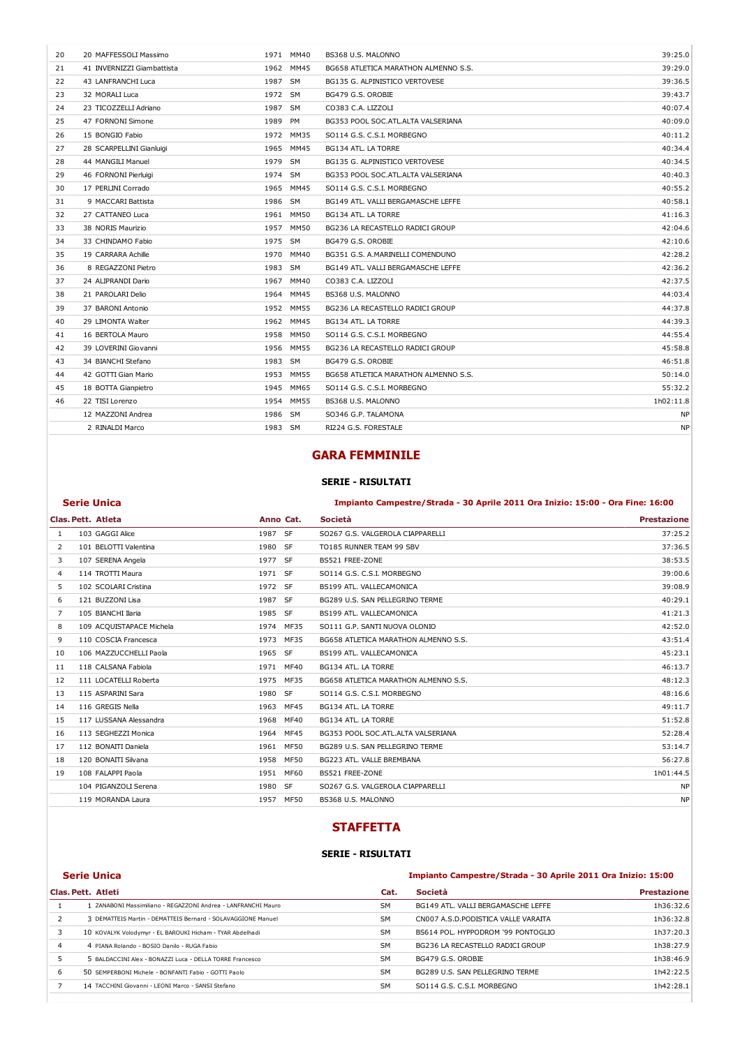| 20 | 20 MAFFESSOLI Massimo      |         | 1971 MM40   | BS368 U.S. MALONNO                   | 39:25.0   |
|----|----------------------------|---------|-------------|--------------------------------------|-----------|
| 21 | 41 INVERNIZZI Giambattista | 1962    | MM45        | BG658 ATLETICA MARATHON ALMENNO S.S. | 39:29.0   |
| 22 | 43 LANFRANCHI Luca         | 1987    | <b>SM</b>   | BG135 G. ALPINISTICO VERTOVESE       | 39:36.5   |
| 23 | 32 MORALI Luca             | 1972 SM |             | BG479 G.S. OROBIE                    | 39:43.7   |
| 24 | 23 TICOZZELLI Adriano      | 1987    | <b>SM</b>   | CO383 C.A. LIZZOLI                   | 40:07.4   |
| 25 | 47 FORNONI Simone          | 1989    | PM          | BG353 POOL SOC.ATL.ALTA VALSERIANA   | 40:09.0   |
| 26 | 15 BONGIO Fabio            |         | 1972 MM35   | SO114 G.S. C.S.I. MORBEGNO           | 40:11.2   |
| 27 | 28 SCARPELLINI Gianluigi   |         | 1965 MM45   | BG134 ATL. LA TORRE                  | 40:34.4   |
| 28 | 44 MANGILI Manuel          | 1979    | <b>SM</b>   | BG135 G. ALPINISTICO VERTOVESE       | 40:34.5   |
| 29 | 46 FORNONI Pierluigi       | 1974    | <b>SM</b>   | BG353 POOL SOC.ATL.ALTA VALSERIANA   | 40:40.3   |
| 30 | 17 PERLINI Corrado         | 1965    | MM45        | SO114 G.S. C.S.I. MORBEGNO           | 40:55.2   |
| 31 | 9 MACCARI Battista         | 1986    | <b>SM</b>   | BG149 ATL. VALLI BERGAMASCHE LEFFE   | 40:58.1   |
| 32 | 27 CATTANEO Luca           |         | 1961 MM50   | BG134 ATL. LA TORRE                  | 41:16.3   |
| 33 | 38 NORIS Maurizio          | 1957    | MM50        | BG236 LA RECASTELLO RADICI GROUP     | 42:04.6   |
| 34 | 33 CHINDAMO Fabio          | 1975 SM |             | BG479 G.S. OROBIE                    | 42:10.6   |
| 35 | 19 CARRARA Achille         | 1970    | MM40        | BG351 G.S. A.MARINELLI COMENDUNO     | 42:28.2   |
| 36 | 8 REGAZZONI Pietro         | 1983 SM |             | BG149 ATL. VALLI BERGAMASCHE LEFFE   | 42:36.2   |
| 37 | 24 ALIPRANDI Dario         | 1967    | MM40        | CO383 C.A. LIZZOLI                   | 42:37.5   |
| 38 | 21 PAROLARI Delio          | 1964    | MM45        | BS368 U.S. MALONNO                   | 44:03.4   |
| 39 | 37 BARONI Antonio          | 1952    | <b>MM55</b> | BG236 LA RECASTELLO RADICI GROUP     | 44:37.8   |
| 40 | 29 LIMONTA Walter          | 1962    | MM45        | BG134 ATL. LA TORRE                  | 44:39.3   |
| 41 | 16 BERTOLA Mauro           | 1958    | <b>MM50</b> | SO114 G.S. C.S.I. MORBEGNO           | 44:55.4   |
| 42 | 39 LOVERINI Giovanni       | 1956    | <b>MM55</b> | BG236 LA RECASTELLO RADICI GROUP     | 45:58.8   |
| 43 | 34 BIANCHI Stefano         | 1983 SM |             | BG479 G.S. OROBIE                    | 46:51.8   |
| 44 | 42 GOTTI Gian Mario        | 1953    | MM55        | BG658 ATLETICA MARATHON ALMENNO S.S. | 50:14.0   |
| 45 | 18 BOTTA Gianpietro        | 1945    | MM65        | SO114 G.S. C.S.I. MORBEGNO           | 55:32.2   |
| 46 | 22 TISI Lorenzo            | 1954    | <b>MM55</b> | BS368 U.S. MALONNO                   | 1h02:11.8 |
|    | 12 MAZZONI Andrea          | 1986    | <b>SM</b>   | SO346 G.P. TALAMONA                  | <b>NP</b> |
|    | 2 RINALDI Marco            | 1983 SM |             | RI224 G.S. FORESTALE                 | <b>NP</b> |
|    |                            |         |             |                                      |           |

### GARA FEMMINILE

#### SERIE - RISULTATI

#### Serie Unica Impianto Campestre/Strada - 30 Aprile 2011 Ora Inizio: 15:00 - Ora Fine: 16:00

|                | Clas. Pett. Atleta       | Anno Cat. |             | Società                              | <b>Prestazione</b> |
|----------------|--------------------------|-----------|-------------|--------------------------------------|--------------------|
| 1              | 103 GAGGI Alice          | 1987 SF   |             | SO267 G.S. VALGEROLA CIAPPARELLI     | 37:25.2            |
| 2              | 101 BELOTTI Valentina    | 1980 SF   |             | TO185 RUNNER TEAM 99 SBV             | 37:36.5            |
| 3              | 107 SERENA Angela        | 1977 SF   |             | BS521 FREE-ZONE                      | 38:53.5            |
| 4              | 114 TROTTI Maura         | 1971 SF   |             | SO114 G.S. C.S.I. MORBEGNO           | 39:00.6            |
| 5              | 102 SCOLARI Cristina     | 1972 SF   |             | BS199 ATL. VALLECAMONICA             | 39:08.9            |
| 6              | 121 BUZZONI Lisa         | 1987 SF   |             | BG289 U.S. SAN PELLEGRINO TERME      | 40:29.1            |
| $\overline{7}$ | 105 BIANCHI Ilaria       | 1985 SF   |             | BS199 ATL. VALLECAMONICA             | 41:21.3            |
| 8              | 109 ACQUISTAPACE Michela | 1974 MF35 |             | SO111 G.P. SANTI NUOVA OLONIO        | 42:52.0            |
| 9              | 110 COSCIA Francesca     | 1973      | <b>MF35</b> | BG658 ATLETICA MARATHON ALMENNO S.S. | 43:51.4            |
| 10             | 106 MAZZUCCHELLI Paola   | 1965 SF   |             | BS199 ATL. VALLECAMONICA             | 45:23.1            |
| 11             | 118 CALSANA Fabiola      | 1971 MF40 |             | BG134 ATL. LA TORRE                  | 46:13.7            |
| 12             | 111 LOCATELLI Roberta    |           | 1975 MF35   | BG658 ATLETICA MARATHON ALMENNO S.S. | 48:12.3            |
| 13             | 115 ASPARINI Sara        | 1980 SF   |             | SO114 G.S. C.S.I. MORBEGNO           | 48:16.6            |
| 14             | 116 GREGIS Nella         | 1963      | MF45        | BG134 ATL. LA TORRE                  | 49:11.7            |
| 15             | 117 LUSSANA Alessandra   |           | 1968 MF40   | BG134 ATL. LA TORRE                  | 51:52.8            |
| 16             | 113 SEGHEZZI Monica      | 1964      | MF45        | BG353 POOL SOC.ATL.ALTA VALSERIANA   | 52:28.4            |
| 17             | 112 BONATTI Daniela      | 1961      | <b>MF50</b> | BG289 U.S. SAN PELLEGRINO TERME      | 53:14.7            |
| 18             | 120 BONAITI Silvana      |           | 1958 MF50   | BG223 ATL. VALLE BREMBANA            | 56:27.8            |
| 19             | 108 FALAPPI Paola        | 1951      | MF60        | BS521 FREE-ZONE                      | 1h01:44.5          |
|                | 104 PIGANZOLI Serena     | 1980 SF   |             | SO267 G.S. VALGEROLA CIAPPARELLI     | <b>NP</b>          |
|                | 119 MORANDA Laura        | 1957      | MF50        | BS368 U.S. MALONNO                   | <b>NP</b>          |

#### **STAFFETTA**

#### SERIE - RISULTATI

#### Serie Unica Impianto Campestre/Strada - 30 Aprile 2011 Ora Inizio: 15:00

|   | Clas. Pett. Atleti                                           | Cat.      | Società                              | <b>Prestazione</b> |
|---|--------------------------------------------------------------|-----------|--------------------------------------|--------------------|
|   | ZANABONI Massimiliano - REGAZZONI Andrea - LANFRANCHI Mauro  | <b>SM</b> | BG149 ATL, VALLI BERGAMASCHE LEFFE   | 1h36:32.6          |
|   | 3 DEMATTEIS Martin - DEMATTEIS Bernard - SOLAVAGGIONE Manuel | <b>SM</b> | CN007 A.S.D. PODISTICA VALLE VARAITA | 1h36:32.8          |
|   | 10 KOVALYK Volodymyr - EL BAROUKI Hicham - TYAR Abdelhadi    | <b>SM</b> | BS614 POL. HYPPODROM '99 PONTOGLIO   | 1h37:20.3          |
| 4 | 4 PIANA Rolando - BOSIO Danilo - RUGA Fabio                  | <b>SM</b> | BG236 LA RECASTELLO RADICI GROUP     | 1h38:27.9          |
|   | 5 BALDACCINI Alex - BONAZZI Luca - DELLA TORRE Francesco     | <b>SM</b> | BG479 G.S. OROBIE                    | 1h38:46.9          |
| 6 | 50 SEMPERBONI Michele - BONEANTI Fabio - GOTTI Paolo         | <b>SM</b> | BG289 U.S. SAN PELLEGRINO TERME      | 1h42:22.5          |
|   | 14 TACCHINI Giovanni - LEONI Marco - SANSI Stefano           | <b>SM</b> | SO114 G.S. C.S.I. MORBEGNO           | 1h42:28.1          |
|   |                                                              |           |                                      |                    |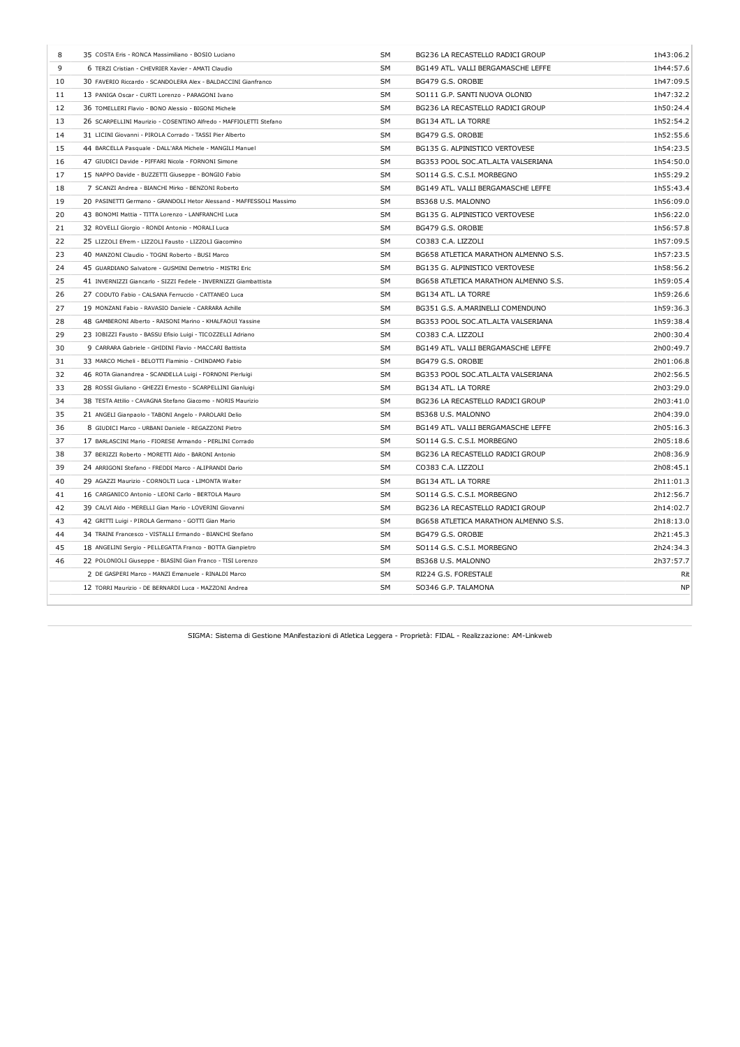| 8  | 35 COSTA Eris - RONCA Massimiliano - BOSIO Luciano                  | <b>SM</b> | BG236 LA RECASTELLO RADICI GROUP     | 1h43:06.2 |
|----|---------------------------------------------------------------------|-----------|--------------------------------------|-----------|
| 9  | 6 TERZI Cristian - CHEVRIER Xavier - AMATI Claudio                  | SM        | BG149 ATL. VALLI BERGAMASCHE LEFFE   | 1h44:57.6 |
| 10 | 30 FAVERIO Riccardo - SCANDOLERA Alex - BALDACCINI Gianfranco       | SM        | BG479 G.S. OROBIE                    | 1h47:09.5 |
| 11 | 13 PANIGA Oscar - CURTI Lorenzo - PARAGONI Ivano                    | SΜ        | SO111 G.P. SANTI NUOVA OLONIO        | 1h47:32.2 |
| 12 | 36 TOMELLERI Flavio - BONO Alessio - BIGONI Michele                 | <b>SM</b> | BG236 LA RECASTELLO RADICI GROUP     | 1h50:24.4 |
| 13 | 26 SCARPELLINI Maurizio - COSENTINO Alfredo - MAFFIOLETTI Stefano   | SM        | BG134 ATL. LA TORRE                  | 1h52:54.2 |
| 14 | 31 LICINI Giovanni - PIROLA Corrado - TASSI Pier Alberto            | SM        | BG479 G.S. OROBIE                    | 1h52:55.6 |
| 15 | 44 BARCELLA Pasquale - DALL'ARA Michele - MANGILI Manuel            | SΜ        | BG135 G. ALPINISTICO VERTOVESE       | 1h54:23.5 |
| 16 | 47 GIUDICI Davide - PIFFARI Nicola - FORNONI Simone                 | SM        | BG353 POOL SOC.ATL.ALTA VALSERIANA   | 1h54:50.0 |
| 17 | 15 NAPPO Davide - BUZZETTI Giuseppe - BONGIO Fabio                  | SM        | SO114 G.S. C.S.I. MORBEGNO           | 1h55:29.2 |
| 18 | 7 SCANZI Andrea - BIANCHI Mirko - BENZONI Roberto                   | SM        | BG149 ATL. VALLI BERGAMASCHE LEFFE   | 1h55:43.4 |
| 19 | 20 PASINETTI Germano - GRANDOLI Hetor Alessand - MAFFESSOLI Massimo | SM        | BS368 U.S. MALONNO                   | 1h56:09.0 |
| 20 | 43 BONOMI Mattia - TITTA Lorenzo - LANFRANCHI Luca                  | SM        | BG135 G. ALPINISTICO VERTOVESE       | 1h56:22.0 |
| 21 | 32 ROVELLI Giorgio - RONDI Antonio - MORALI Luca                    | SΜ        | BG479 G.S. OROBIE                    | 1h56:57.8 |
| 22 | 25 LIZZOLI Efrem - LIZZOLI Fausto - LIZZOLI Giacomino               | SM        | CO383 C.A. LIZZOLI                   | 1h57:09.5 |
| 23 | 40 MANZONI Claudio - TOGNI Roberto - BUSI Marco                     | <b>SM</b> | BG658 ATLETICA MARATHON ALMENNO S.S. | 1h57:23.5 |
| 24 | 45 GUARDIANO Salvatore - GUSMINI Demetrio - MISTRI Eric             | SM        | BG135 G. ALPINISTICO VERTOVESE       | 1h58:56.2 |
| 25 | 41 INVERNIZZI Giancarlo - SIZZI Fedele - INVERNIZZI Giambattista    | SM        | BG658 ATLETICA MARATHON ALMENNO S.S. | 1h59:05.4 |
| 26 | 27 CODUTO Fabio - CALSANA Ferruccio - CATTANEO Luca                 | SΜ        | BG134 ATL. LA TORRE                  | 1h59:26.6 |
| 27 | 19 MONZANI Fabio - RAVASIO Daniele - CARRARA Achille                | <b>SM</b> | BG351 G.S. A.MARINELLI COMENDUNO     | 1h59:36.3 |
| 28 | 48 GAMBERONI Alberto - RAISONI Marino - KHALFAOUI Yassine           | SM        | BG353 POOL SOC.ATL.ALTA VALSERIANA   | 1h59:38.4 |
| 29 | 23 IOBIZZI Fausto - BASSU Efisio Luigi - TICOZZELLI Adriano         | SM        | CO383 C.A. LIZZOLI                   | 2h00:30.4 |
| 30 | 9 CARRARA Gabriele - GHIDINI Flavio - MACCARI Battista              | SΜ        | BG149 ATL. VALLI BERGAMASCHE LEFFE   | 2h00:49.7 |
| 31 | 33 MARCO Micheli - BELOTTI Flaminio - CHINDAMO Fabio                | <b>SM</b> | BG479 G.S. OROBIE                    | 2h01:06.8 |
| 32 | 46 ROTA Gianandrea - SCANDELLA Luigi - FORNONI Pierluigi            | SM        | BG353 POOL SOC.ATL.ALTA VALSERIANA   | 2h02:56.5 |
| 33 | 28 ROSSI Giuliano - GHEZZI Ernesto - SCARPELLINI Gianluigi          | SM        | BG134 ATL. LA TORRE                  | 2h03:29.0 |
| 34 | 38 TESTA Attilio - CAVAGNA Stefano Giacomo - NORIS Maurizio         | SM        | BG236 LA RECASTELLO RADICI GROUP     | 2h03:41.0 |
| 35 | 21 ANGELI Gianpaolo - TABONI Angelo - PAROLARI Delio                | SM        | BS368 U.S. MALONNO                   | 2h04:39.0 |
| 36 | 8 GIUDICI Marco - URBANI Daniele - REGAZZONI Pietro                 | SΜ        | BG149 ATL. VALLI BERGAMASCHE LEFFE   | 2h05:16.3 |
| 37 | 17 BARLASCINI Mario - FIORESE Armando - PERLINI Corrado             | SM        | SO114 G.S. C.S.I. MORBEGNO           | 2h05:18.6 |
| 38 | 37 BERIZZI Roberto - MORETTI Aldo - BARONI Antonio                  | <b>SM</b> | BG236 LA RECASTELLO RADICI GROUP     | 2h08:36.9 |
| 39 | 24 ARRIGONI Stefano - FREDDI Marco - ALIPRANDI Dario                | SM        | CO383 C.A. LIZZOLI                   | 2h08:45.1 |
| 40 | 29 AGAZZI Maurizio - CORNOLTI Luca - LIMONTA Walter                 | SM        | BG134 ATL. LA TORRE                  | 2h11:01.3 |
| 41 | 16 CARGANICO Antonio - LEONI Carlo - BERTOLA Mauro                  | SΜ        | SO114 G.S. C.S.I. MORBEGNO           | 2h12:56.7 |
| 42 | 39 CALVI Aldo - MERELLI Gian Mario - LOVERINI Giovanni              | SM        | BG236 LA RECASTELLO RADICI GROUP     | 2h14:02.7 |
| 43 | 42 GRITTI Luigi - PIROLA Germano - GOTTI Gian Mario                 | SM        | BG658 ATLETICA MARATHON ALMENNO S.S. | 2h18:13.0 |
| 44 | 34 TRAINI Francesco - VISTALLI Ermando - BIANCHI Stefano            | SM        | BG479 G.S. OROBIE                    | 2h21:45.3 |
| 45 | 18 ANGELINI Sergio - PELLEGATTA Franco - BOTTA Gianpietro           | SΜ        | SO114 G.S. C.S.I. MORBEGNO           | 2h24:34.3 |
| 46 | 22 POLONIOLI Giuseppe - BIASINI Gian Franco - TISI Lorenzo          | <b>SM</b> | BS368 U.S. MALONNO                   | 2h37:57.7 |
|    | 2 DE GASPERI Marco - MANZI Emanuele - RINALDI Marco                 | SM        | RI224 G.S. FORESTALE                 | Rit       |
|    | 12 TORRI Maurizio - DE BERNARDI Luca - MAZZONI Andrea               | <b>SM</b> | SO346 G.P. TALAMONA                  | <b>NP</b> |
|    |                                                                     |           |                                      |           |

SIGMA: Sistema di Gestione MAnifestazioni di Atletica Leggera - Proprietà: FIDAL - Realizzazione: AM-Linkweb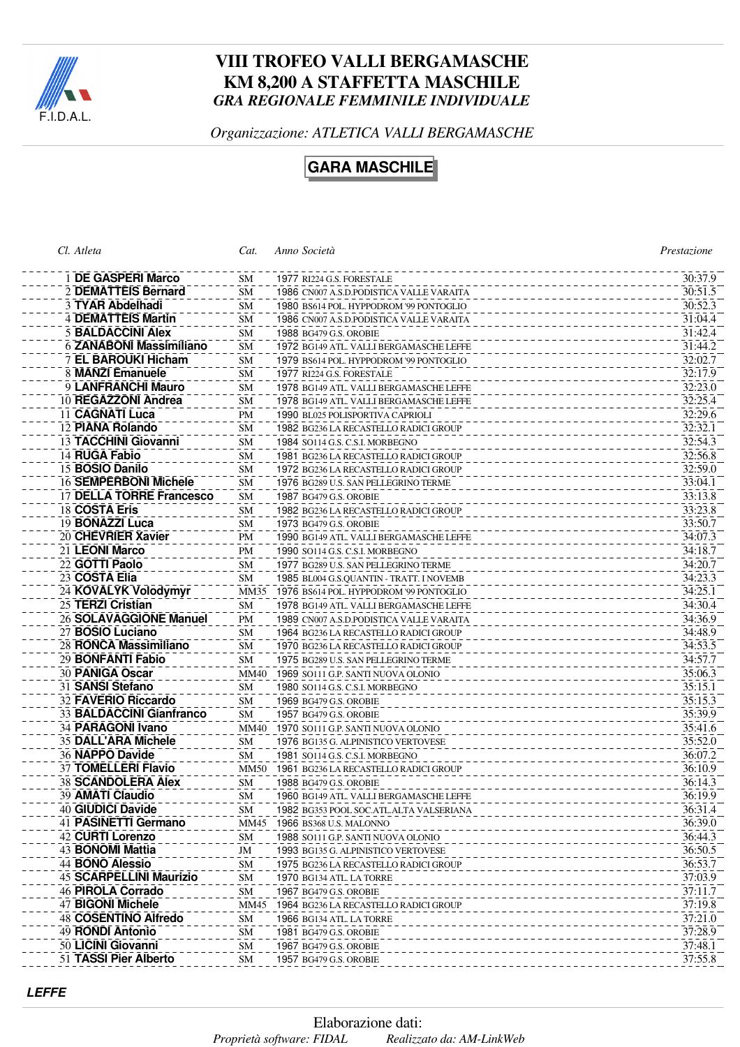

# **VIII TROFEO VALLI BERGAMASCHE KM 8,200 A STAFFETTA MASCHILE** *GRA REGIONALE FEMMINILE INDIVIDUALE*

*Organizzazione: ATLETICA VALLI BERGAMASCHE*

**GARA MASCHILE**

| Cl. Atleta                     | Cat.      | Anno Società                               | Prestazione |
|--------------------------------|-----------|--------------------------------------------|-------------|
| 1 DE GASPERI Marco             | <b>SM</b> | 1977 RI224 G.S. FORESTALE                  | 30:37.9     |
| 2 DEMATTEIS Bernard            | SM        | 1986 CN007 A.S.D.PODISTICA VALLE VARAITA   | 30:51.5     |
| 3 TYAR Abdelhadi               | <b>SM</b> | 1980 BS614 POL. HYPPODROM '99 PONTOGLIO    | 30:52.3     |
| <b>4 DEMATTEIS Martin</b>      | <b>SM</b> | 1986 CN007 A.S.D.PODISTICA VALLE VARAITA   | 31:04.4     |
| <b>5 BALDACCINI Alex</b>       | <b>SM</b> | 1988 BG479 G.S. OROBIE                     | 31:42.4     |
| 6 ZANABONI Massimiliano        | <b>SM</b> | 1972 BG149 ATL. VALLI BERGAMASCHE LEFFE    | 31:44.2     |
| 7 EL BAROUKI Hicham            | SМ        | 1979 BS614 POL. HYPPODROM '99 PONTOGLIO    | 32:02.7     |
| 8 MANZI Emanuele               | <b>SM</b> | 1977 RI224 G.S. FORESTALE                  | 32:17.9     |
| 9 LANFRANCHI Mauro             | <b>SM</b> | 1978 BG149 ATL. VALLI BERGAMASCHE LEFFE    | 32:23.0     |
| 10 REGAZZONI Andrea            | SM        | 1978 BG149 ATL. VALLI BERGAMASCHE LEFFE    | 32:25.4     |
| 11 CAGNATI Luca                | PM        | 1990 BL025 POLISPORTIVA CAPRIOLI           | 32:29.6     |
| 12 PIANA Rolando               | <b>SM</b> | 1982 BG236 LA RECASTELLO RADICI GROUP      | 32:32.1     |
| 13 TACCHINI Giovanni           | <b>SM</b> | 1984 SO114 G.S. C.S.I. MORBEGNO            | 32:54.3     |
| 14 RUGA Fabio                  | <b>SM</b> | 1981 BG236 LA RECASTELLO RADICI GROUP      | 32:56.8     |
| 15 BOSIO Danilo                | <b>SM</b> | 1972 BG236 LA RECASTELLO RADICI GROUP      | 32:59.0     |
| <b>16 SEMPERBONI Michele</b>   | <b>SM</b> | 1976 BG289 U.S. SAN PELLEGRINO TERME       | 33:04.1     |
| 17 DELLA TORRE Francesco       | <b>SM</b> | 1987 BG479 G.S. OROBIE                     | 33:13.8     |
| 18 COSTA Eris                  | SМ        | 1982 BG236 LA RECASTELLO RADICI GROUP      | 33:23.8     |
| 19 BONAZZI Luca                | <b>SM</b> | 1973 BG479 G.S. OROBIE                     | 33:50.7     |
| 20 CHEVRIER Xavier             | <b>PM</b> | 1990 BG149 ATL. VALLI BERGAMASCHE LEFFE    | 34:07.3     |
| 21 LEONI Marco                 | <b>PM</b> | 1990 SO114 G.S. C.S.I. MORBEGNO            | 34:18.7     |
| 22 GOTTI Paolo                 | <b>SM</b> | 1977 BG289 U.S. SAN PELLEGRINO TERME       | 34:20.7     |
| 23 COSTA Elia                  | <b>SM</b> | 1985 BL004 G.S.QUANTIN - TRATT. I NOVEMB   | 34:23.3     |
| 24 KOVALYK Volodymyr           | MM35      | 1976 BS614 POL. HYPPODROM '99 PONTOGLIO    | 34:25.1     |
| 25 TERZI Cristian              | <b>SM</b> | 1978 BG149 ATL. VALLI BERGAMASCHE LEFFE    | 34:30.4     |
| 26 SOLAVAGGIONE Manuel         | <b>PM</b> | 1989 CN007 A.S.D.PODISTICA VALLE VARAITA   | 34:36.9     |
| 27 BOSIO Luciano               | <b>SM</b> | 1964 BG236 LA RECASTELLO RADICI GROUP      | 34:48.9     |
| 28 RONCA Massimiliano          | SM        | 1970 BG236 LA RECASTELLO RADICI GROUP      | 34:53.5     |
| 29 BONFANTI Fabio              | SМ        | 1975 BG289 U.S. SAN PELLEGRINO TERME       | 34:57.7     |
| 30 PANIGA Oscar                | MM40      | 1969 SO111 G.P. SANTI NUOVA OLONIO         | 35:06.3     |
| 31 SANSI Stefano               | SM        | 1980 SO114 G.S. C.S.I. MORBEGNO            | 35:15.1     |
| 32 FAVERIO Riccardo            | SM        | 1969 BG479 G.S. OROBIE                     | 35:15.3     |
| 33 BALDACCINI Gianfranco       | <b>SM</b> | 1957 BG479 G.S. OROBIE                     | 35:39.9     |
| 34 PARAGONI Ivano              |           | MM40 1970 SO111 G.P. SANTI NUOVA OLONIO    | 35:41.6     |
| 35 DALL'ARA Michele            | SМ        | 1976 BG135 G. ALPINISTICO VERTOVESE        | 35:52.0     |
| 36 NAPPO Davide                | <b>SM</b> | 1981 SO114 G.S. C.S.I. MORBEGNO            | 36:07.2     |
| 37 TOMELLERI Flavio            |           | MM50 1961 BG236 LA RECASTELLO RADICI GROUP | 36:10.9     |
| 38 SCANDOLERA Alex             | <b>SM</b> | 1988 BG479 G.S. OROBIE                     | 36:14.3     |
| 39 AMATI Claudio               | <b>SM</b> | 1960 BG149 ATL. VALLI BERGAMASCHE LEFFE    | 36:19.9     |
| 40 GIUDICI Davide              | SM        | 1982 BG353 POOL SOC.ATL.ALTA VALSERIANA    | 36:31.4     |
| 41 PASINETTI Germano           | MM45      | 1966 BS368 U.S. MALONNO                    | 36:39.0     |
| 42 CURTI Lorenzo               | <b>SM</b> | 1988 SO111 G.P. SANTI NUOVA OLONIO         | 36:44.3     |
| 43 <b>BONOMI Mattia</b>        | JM        | 1993 BG135 G. ALPINISTICO VERTOVESE        | 36:50.5     |
| 44 BONO Alessio                | <b>SM</b> | 1975 BG236 LA RECASTELLO RADICI GROUP      | 36:53.7     |
| <b>45 SCARPELLINI Maurizio</b> | <b>SM</b> | 1970 BG134 ATL. LA TORRE                   | 37:03.9     |
| 46 PIROLA Corrado              | SM        | 1967 BG479 G.S. OROBIE                     | 37:11.7     |
| 47 BIGONI Michele              | MM45      | 1964 BG236 LA RECASTELLO RADICI GROUP      | 37:19.8     |
| 48 COSENTINO Alfredo           | <b>SM</b> | 1966 BG134 ATL. LA TORRE                   | 37:21.0     |
| 49 RONDI Antonio               | <b>SM</b> | 1981 BG479 G.S. OROBIE                     | 37:28.9     |
| 50 LICINI Giovanni             | SM        | 1967 BG479 G.S. OROBIE                     | 37:48.1     |
| 51 TASSI Pier Alberto          | SM        | 1957 BG479 G.S. OROBIE                     | 37:55.8     |
|                                |           |                                            |             |

**LEFFE**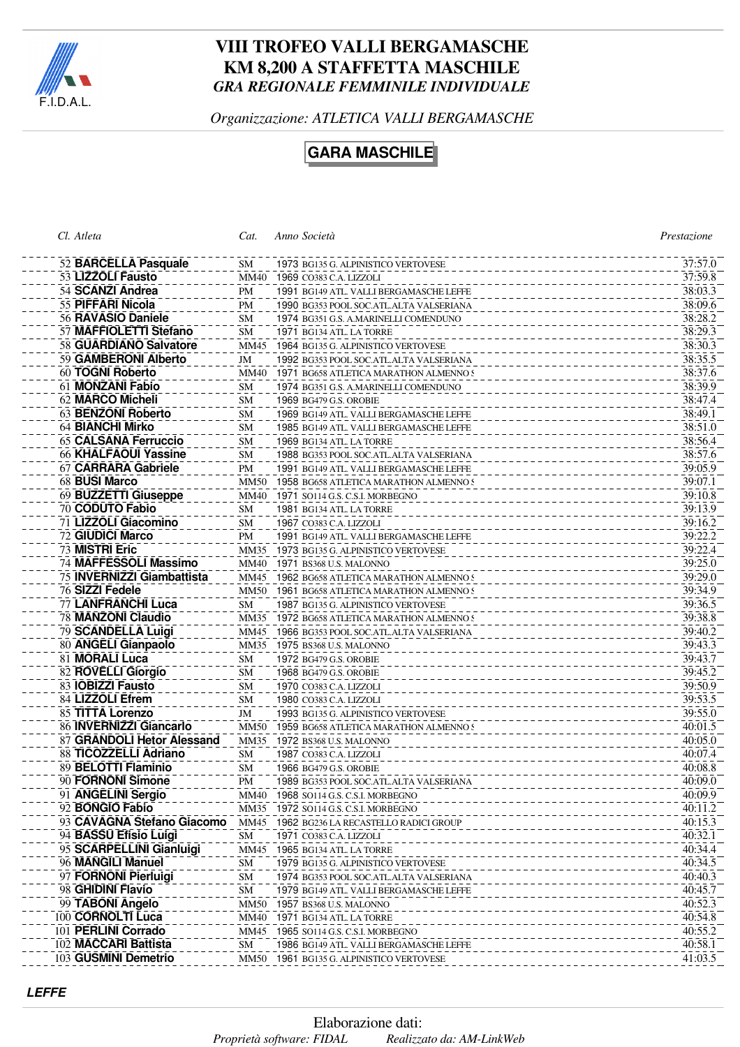

# **VIII TROFEO VALLI BERGAMASCHE KM 8,200 A STAFFETTA MASCHILE** *GRA REGIONALE FEMMINILE INDIVIDUALE*

*Organizzazione: ATLETICA VALLI BERGAMASCHE*

# **GARA MASCHILE**

| Cl. Atleta                  | Cat.        | Anno Società                                | Prestazione |
|-----------------------------|-------------|---------------------------------------------|-------------|
| 52 BARCELLA Pasquale        | SM          | 1973 BG135 G. ALPINISTICO VERTOVESE         | 37:57.0     |
| 53 LIZZOLI Fausto           |             | MM40 1969 CO383 C.A. LIZZOLI                | 37:59.8     |
| 54 SCANZI Andrea            | PM          | 1991 BG149 ATL. VALLI BERGAMASCHE LEFFE     | 38:03.3     |
| 55 PIFFARI Nicola           | PM          | 1990 BG353 POOL SOC.ATL.ALTA VALSERIANA     | 38:09.6     |
| 56 RAVASIO Daniele          | <b>SM</b>   | 1974 BG351 G.S. A.MARINELLI COMENDUNO       | 38:28.2     |
| 57 MAFFIOLETTI Stefano      | <b>SM</b>   | 1971 BG134 ATL. LA TORRE                    | 38:29.3     |
| 58 GUARDIANO Salvatore      | MM45        | 1964 BG135 G. ALPINISTICO VERTOVESE         | 38:30.3     |
| 59 GAMBERONI Alberto        | JM          | 1992 BG353 POOL SOC.ATL.ALTA VALSERIANA     | 38:35.5     |
| 60 TOGNI Roberto            | MM40        | 1971 BG658 ATLETICA MARATHON ALMENNO S      | 38:37.6     |
| 61 MONZANI Fabio            | <b>SM</b>   | 1974 BG351 G.S. A.MARINELLI COMENDUNO       | 38:39.9     |
| 62 MARCO Micheli            | <b>SM</b>   | 1969 BG479 G.S. OROBIE                      | 38:47.4     |
| <b>63 BENZONI Roberto</b>   | <b>SM</b>   | 1969 BG149 ATL. VALLI BERGAMASCHE LEFFE     | 38:49.1     |
| 64 BIANCHI Mirko            | <b>SM</b>   | 1985 BG149 ATL. VALLI BERGAMASCHE LEFFE     | 38:51.0     |
| 65 CALSANA Ferruccio        | <b>SM</b>   | 1969 BG134 ATL. LA TORRE                    | 38:56.4     |
| <b>66 KHALFAOUI Yassine</b> | SM          | 1988 BG353 POOL SOC.ATL.ALTA VALSERIANA     | 38:57.6     |
| 67 CARRARA Gabriele         | PM          | 1991 BG149 ATL. VALLI BERGAMASCHE LEFFE     | 39:05.9     |
| 68 BUSI Marco               | <b>MM50</b> | 1958 BG658 ATLETICA MARATHON ALMENNO S      | 39:07.1     |
| 69 BUZZETTI Giuseppe        | <b>MM40</b> | 1971 SO114 G.S. C.S.I. MORBEGNO             | 39:10.8     |
| 70 CODUTO Fabio             | SM          | 1981 BG134 ATL. LA TORRE                    | 39:13.9     |
| 71 LIZZOLI Giacomino        |             |                                             | 39:16.2     |
| 72 GIUDICI Marco            | SM          | 1967 CO383 C.A. LIZZOLI                     | 39:22.2     |
| 73 MISTRI Eric              | PM          | 1991 BG149 ATL. VALLI BERGAMASCHE LEFFE     | 39:22.4     |
| 74 MAFFESSOLI Massimo       | MM35        | 1973 BG135 G. ALPINISTICO VERTOVESE         | 39:25.0     |
| 75 INVERNIZZI Giambattista  | MM40        | 1971 BS368 U.S. MALONNO                     |             |
|                             | MM45        | 1962 BG658 ATLETICA MARATHON ALMENNO S      | 39:29.0     |
| 76 SIZZI Fedele             |             | MM50 1961 BG658 ATLETICA MARATHON ALMENNO S | 39:34.9     |
| 77 LANFRANCHI Luca          | SM          | 1987 BG135 G. ALPINISTICO VERTOVESE         | 39:36.5     |
| 78 MANZONI Claudio          | MM35        | 1972 BG658 ATLETICA MARATHON ALMENNO S      | 39:38.8     |
| 79 SCANDELLA Luigi          | MM45        | 1966 BG353 POOL SOC.ATL.ALTA VALSERIANA     | 39:40.2     |
| 80 ANGELI Gianpaolo         | MM35        | 1975 BS368 U.S. MALONNO                     | 39:43.3     |
| 81 MORALI Luca              | <b>SM</b>   | 1972 BG479 G.S. OROBIE                      | 39:43.7     |
| 82 ROVELLI Giorgio          | SM          | 1968 BG479 G.S. OROBIE                      | 39:45.2     |
| 83 IOBIZZI Fausto           | SM          | 1970 CO383 C.A. LIZZOLI                     | 39:50.9     |
| 84 LIZZOLI Efrem            | SM          | 1980 CO383 C.A. LIZZOLI                     | 39:53.5     |
| 85 TITTA Lorenzo            | JM          | 1993 BG135 G. ALPINISTICO VERTOVESE         | 39:55.0     |
| 86 INVERNIZZI Giancarlo     | <b>MM50</b> | 1959 BG658 ATLETICA MARATHON ALMENNO S      | 40:01.5     |
| 87 GRANDOLI Hetor Alessand  | MM35        | 1972 BS368 U.S. MALONNO                     | 40:05.0     |
| 88 TICOZZELLI Adriano       | <b>SM</b>   | 1987 CO383 C.A. LIZZOLI                     | 40:07.4     |
| 89 BELOTTI Flaminio         | SM          | 1966 BG479 G.S. OROBIE                      | 40:08.8     |
| 90 FORNONI Simone           | <b>PM</b>   | 1989 BG353 POOL SOC.ATL.ALTA VALSERIANA     | 40:09.0     |
| 91 ANGELINI Sergio          | MM40        | 1968 SO114 G.S. C.S.I. MORBEGNO             | 40:09.9     |
| 92 BONGIO Fabio             | MM35        | 1972 SO114 G.S. C.S.I. MORBEGNO             | 40:11.2     |
| 93 CAVAGNA Stefano Giacomo  | MM45        | 1962 BG236 LA RECASTELLO RADICI GROUP       | 40:15.3     |
| 94 BASSU Efisio Luigi       | SΜ          | 1971 CO383 C.A. LIZZOLI                     | 40:32.1     |
| 95 SCARPELLINI Gianluigi    | MM45        | 1965 BG134 ATL. LA TORRE                    | 40:34.4     |
| 96 MANGILI Manuel           | <b>SM</b>   | 1979 BG135 G. ALPINISTICO VERTOVESE         | 40:34.5     |
| 97 FORNONI Pierluigi        | <b>SM</b>   | 1974 BG353 POOL SOC.ATL.ALTA VALSERIANA     | 40:40.3     |
| 98 GHIDINI Flavio           | <b>SM</b>   | 1979 BG149 ATL. VALLI BERGAMASCHE LEFFE     | 40:45.7     |
| 99 TABONI Angelo            | MM50        | 1957 BS368 U.S. MALONNO                     | 40:52.3     |
| 100 CORNOLTI Luca           | MM40        | 1971 BG134 ATL. LA TORRE                    | 40:54.8     |
| 101 PERLINI Corrado         | MM45        | 1965 SO114 G.S. C.S.I. MORBEGNO             | 40:55.2     |
| 102 MACCARI Battista        | <b>SM</b>   | 1986 BG149 ATL. VALLI BERGAMASCHE LEFFE     | 40:58.1     |
| 103 GUSMINI Demetrio        | MM50        | 1961 BG135 G. ALPINISTICO VERTOVESE         | 41:03.5     |
|                             |             |                                             |             |

**LEFFE**